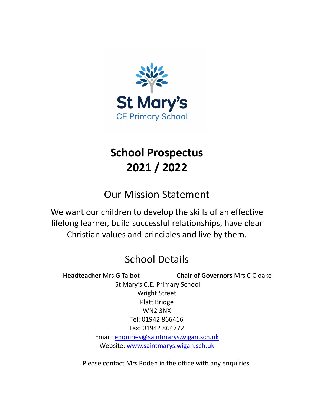

# **School Prospectus 2021 / 2022**

Our Mission Statement

We want our children to develop the skills of an effective lifelong learner, build successful relationships, have clear Christian values and principles and live by them.

# School Details

 **Headteacher** Mrs G Talbot **Chair of Governors** Mrs C Cloake St Mary's C.E. Primary School Wright Street Platt Bridge WN2 3NX Tel: 01942 866416 Fax: 01942 864772 Email: [enquiries@saintmarys.wigan.sch.uk](mailto:enquiries@saintmarys.wigan.sch.uk) Website: [www.saintmarys.wigan.sch.uk](http://www.saintmarys.wigan.sch.uk/)

Please contact Mrs Roden in the office with any enquiries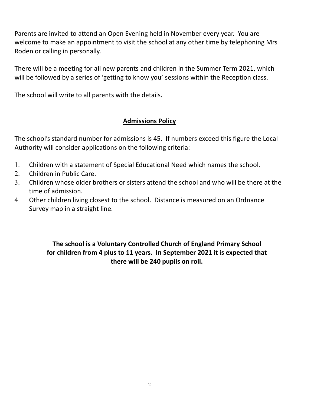Parents are invited to attend an Open Evening held in November every year. You are welcome to make an appointment to visit the school at any other time by telephoning Mrs Roden or calling in personally.

There will be a meeting for all new parents and children in the Summer Term 2021, which will be followed by a series of 'getting to know you' sessions within the Reception class.

The school will write to all parents with the details.

### **Admissions Policy**

The school's standard number for admissions is 45. If numbers exceed this figure the Local Authority will consider applications on the following criteria:

- 1. Children with a statement of Special Educational Need which names the school.
- 2. Children in Public Care.
- 3. Children whose older brothers or sisters attend the school and who will be there at the time of admission.
- 4. Other children living closest to the school. Distance is measured on an Ordnance Survey map in a straight line.

**The school is a Voluntary Controlled Church of England Primary School for children from 4 plus to 11 years. In September 2021 it is expected that there will be 240 pupils on roll.**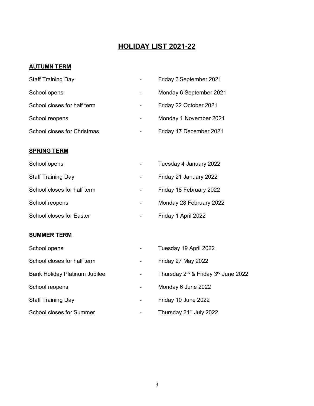## **HOLIDAY LIST 2021-22**

#### **AUTUMN TERM**

| <b>Staff Training Day</b>            |                          | Friday 3 September 2021                                     |
|--------------------------------------|--------------------------|-------------------------------------------------------------|
| School opens                         |                          | Monday 6 September 2021                                     |
| School closes for half term          | $\overline{\phantom{a}}$ | Friday 22 October 2021                                      |
| School reopens                       |                          | Monday 1 November 2021                                      |
| <b>School closes for Christmas</b>   |                          | Friday 17 December 2021                                     |
| <b>SPRING TERM</b>                   |                          |                                                             |
| School opens                         |                          | Tuesday 4 January 2022                                      |
| <b>Staff Training Day</b>            | -                        | Friday 21 January 2022                                      |
| School closes for half term          |                          | Friday 18 February 2022                                     |
| School reopens                       |                          | Monday 28 February 2022                                     |
| <b>School closes for Easter</b>      |                          | Friday 1 April 2022                                         |
| <b>SUMMER TERM</b>                   |                          |                                                             |
| School opens                         |                          | Tuesday 19 April 2022                                       |
| School closes for half term          |                          | Friday 27 May 2022                                          |
| <b>Bank Holiday Platinum Jubilee</b> |                          | Thursday 2 <sup>nd</sup> & Friday 3 <sup>rd</sup> June 2022 |

- 
- 
- 
- 
- School reopens **1988** Monday 6 June 2022
- Staff Training Day **Calcular Contract Contract Contract Contract Contract Contract Contract Contract Contract Contract Contract Contract Contract Contract Contract Contract Contract Contract Contract Contract Contract Cont**
- School closes for Summer Thursday 21<sup>st</sup> July 2022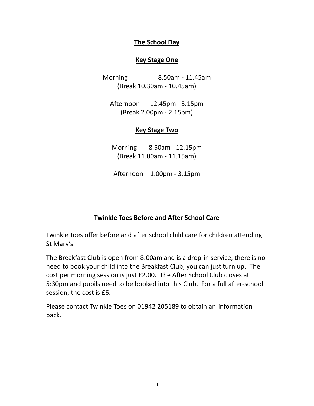#### **The School Day**

#### **Key Stage One**

Morning 8.50am - 11.45am (Break 10.30am - 10.45am)

Afternoon 12.45pm - 3.15pm (Break 2.00pm - 2.15pm)

#### **Key Stage Two**

Morning 8.50am - 12.15pm (Break 11.00am - 11.15am)

Afternoon 1.00pm - 3.15pm

## **Twinkle Toes Before and After School Care**

Twinkle Toes offer before and after school child care for children attending St Mary's.

The Breakfast Club is open from 8:00am and is a drop-in service, there is no need to book your child into the Breakfast Club, you can just turn up. The cost per morning session is just £2.00. The After School Club closes at 5:30pm and pupils need to be booked into this Club. For a full after-school session, the cost is £6.

Please contact Twinkle Toes on 01942 205189 to obtain an information pack.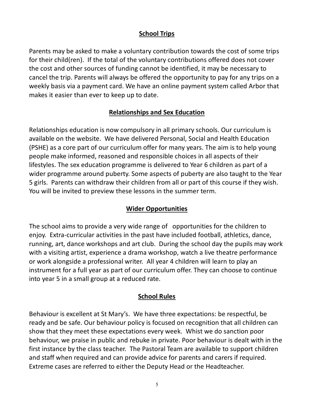### **School Trips**

Parents may be asked to make a voluntary contribution towards the cost of some trips for their child(ren). If the total of the voluntary contributions offered does not cover the cost and other sources of funding cannot be identified, it may be necessary to cancel the trip. Parents will always be offered the opportunity to pay for any trips on a weekly basis via a payment card. We have an online payment system called Arbor that makes it easier than ever to keep up to date.

## **Relationships and Sex Education**

Relationships education is now compulsory in all primary schools. Our curriculum is available on the website. We have delivered Personal, Social and Health Education (PSHE) as a core part of our curriculum offer for many years. The aim is to help young people make informed, reasoned and responsible choices in all aspects of their lifestyles. The sex education programme is delivered to Year 6 children as part of a wider programme around puberty. Some aspects of puberty are also taught to the Year 5 girls. Parents can withdraw their children from all or part of this course if they wish. You will be invited to preview these lessons in the summer term.

### **Wider Opportunities**

The school aims to provide a very wide range of opportunities for the children to enjoy. Extra-curricular activities in the past have included football, athletics, dance, running, art, dance workshops and art club. During the school day the pupils may work with a visiting artist, experience a drama workshop, watch a live theatre performance or work alongside a professional writer. All year 4 children will learn to play an instrument for a full year as part of our curriculum offer. They can choose to continue into year 5 in a small group at a reduced rate.

### **School Rules**

Behaviour is excellent at St Mary's. We have three expectations: be respectful, be ready and be safe. Our behaviour policy is focused on recognition that all children can show that they meet these expectations every week. Whist we do sanction poor behaviour, we praise in public and rebuke in private. Poor behaviour is dealt with in the first instance by the class teacher. The Pastoral Team are available to support children and staff when required and can provide advice for parents and carers if required. Extreme cases are referred to either the Deputy Head or the Headteacher.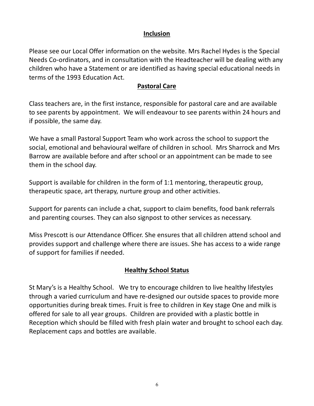#### **Inclusion**

Please see our Local Offer information on the website. Mrs Rachel Hydes is the Special Needs Co-ordinators, and in consultation with the Headteacher will be dealing with any children who have a Statement or are identified as having special educational needs in terms of the 1993 Education Act.

#### **Pastoral Care**

Class teachers are, in the first instance, responsible for pastoral care and are available to see parents by appointment. We will endeavour to see parents within 24 hours and if possible, the same day.

We have a small Pastoral Support Team who work across the school to support the social, emotional and behavioural welfare of children in school. Mrs Sharrock and Mrs Barrow are available before and after school or an appointment can be made to see them in the school day.

Support is available for children in the form of 1:1 mentoring, therapeutic group, therapeutic space, art therapy, nurture group and other activities.

Support for parents can include a chat, support to claim benefits, food bank referrals and parenting courses. They can also signpost to other services as necessary.

Miss Prescott is our Attendance Officer. She ensures that all children attend school and provides support and challenge where there are issues. She has access to a wide range of support for families if needed.

### **Healthy School Status**

St Mary's is a Healthy School. We try to encourage children to live healthy lifestyles through a varied curriculum and have re-designed our outside spaces to provide more opportunities during break times. Fruit is free to children in Key stage One and milk is offered for sale to all year groups. Children are provided with a plastic bottle in Reception which should be filled with fresh plain water and brought to school each day. Replacement caps and bottles are available.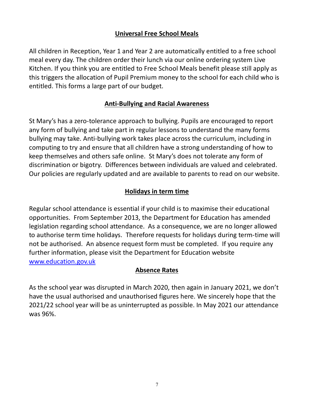## **Universal Free School Meals**

All children in Reception, Year 1 and Year 2 are automatically entitled to a free school meal every day. The children order their lunch via our online ordering system Live Kitchen. If you think you are entitled to Free School Meals benefit please still apply as this triggers the allocation of Pupil Premium money to the school for each child who is entitled. This forms a large part of our budget.

## **Anti-Bullying and Racial Awareness**

St Mary's has a zero-tolerance approach to bullying. Pupils are encouraged to report any form of bullying and take part in regular lessons to understand the many forms bullying may take. Anti-bullying work takes place across the curriculum, including in computing to try and ensure that all children have a strong understanding of how to keep themselves and others safe online. St Mary's does not tolerate any form of discrimination or bigotry. Differences between individuals are valued and celebrated. Our policies are regularly updated and are available to parents to read on our website.

## **Holidays in term time**

Regular school attendance is essential if your child is to maximise their educational opportunities. From September 2013, the Department for Education has amended legislation regarding school attendance. As a consequence, we are no longer allowed to authorise term time holidays. Therefore requests for holidays during term-time will not be authorised. An absence request form must be completed. If you require any further information, please visit the Department for Education website [www.education.gov.uk](http://www.education.gov.uk/)

#### **Absence Rates**

As the school year was disrupted in March 2020, then again in January 2021, we don't have the usual authorised and unauthorised figures here. We sincerely hope that the 2021/22 school year will be as uninterrupted as possible. In May 2021 our attendance was 96%.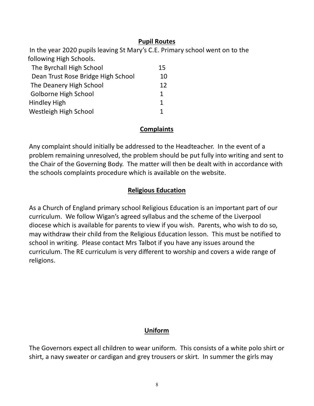#### **Pupil Routes**

In the year 2020 pupils leaving St Mary's C.E. Primary school went on to the following High Schools.

| The Byrchall High School           | 15  |
|------------------------------------|-----|
| Dean Trust Rose Bridge High School | 10  |
| The Deanery High School            | 12. |
| Golborne High School               | 1.  |
| <b>Hindley High</b>                |     |
| Westleigh High School              |     |

## **Complaints**

Any complaint should initially be addressed to the Headteacher. In the event of a problem remaining unresolved, the problem should be put fully into writing and sent to the Chair of the Governing Body. The matter will then be dealt with in accordance with the schools complaints procedure which is available on the website.

## **Religious Education**

As a Church of England primary school Religious Education is an important part of our curriculum. We follow Wigan's agreed syllabus and the scheme of the Liverpool diocese which is available for parents to view if you wish. Parents, who wish to do so, may withdraw their child from the Religious Education lesson. This must be notified to school in writing. Please contact Mrs Talbot if you have any issues around the curriculum. The RE curriculum is very different to worship and covers a wide range of religions.

## **Uniform**

The Governors expect all children to wear uniform. This consists of a white polo shirt or shirt, a navy sweater or cardigan and grey trousers or skirt. In summer the girls may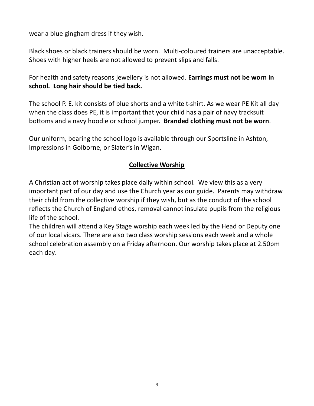wear a blue gingham dress if they wish.

Black shoes or black trainers should be worn. Multi-coloured trainers are unacceptable. Shoes with higher heels are not allowed to prevent slips and falls.

For health and safety reasons jewellery is not allowed. **Earrings must not be worn in school. Long hair should be tied back.** 

The school P. E. kit consists of blue shorts and a white t-shirt. As we wear PE Kit all day when the class does PE, it is important that your child has a pair of navy tracksuit bottoms and a navy hoodie or school jumper. **Branded clothing must not be worn**.

Our uniform, bearing the school logo is available through our Sportsline in Ashton, Impressions in Golborne, or Slater's in Wigan.

### **Collective Worship**

A Christian act of worship takes place daily within school. We view this as a very important part of our day and use the Church year as our guide. Parents may withdraw their child from the collective worship if they wish, but as the conduct of the school reflects the Church of England ethos, removal cannot insulate pupils from the religious life of the school.

The children will attend a Key Stage worship each week led by the Head or Deputy one of our local vicars. There are also two class worship sessions each week and a whole school celebration assembly on a Friday afternoon. Our worship takes place at 2.50pm each day.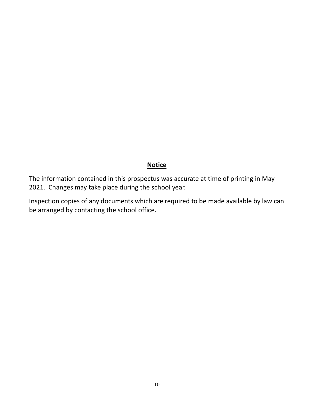#### **Notice**

The information contained in this prospectus was accurate at time of printing in May 2021. Changes may take place during the school year.

Inspection copies of any documents which are required to be made available by law can be arranged by contacting the school office.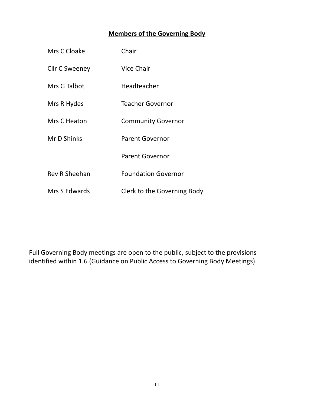## **Members of the Governing Body**

| Mrs C Cloake         | Chair                       |
|----------------------|-----------------------------|
| Cllr C Sweeney       | Vice Chair                  |
| Mrs G Talbot         | Headteacher                 |
| Mrs R Hydes          | Teacher Governor            |
| Mrs C Heaton         | <b>Community Governor</b>   |
| Mr D Shinks          | <b>Parent Governor</b>      |
|                      | <b>Parent Governor</b>      |
| <b>Rev R Sheehan</b> | <b>Foundation Governor</b>  |
| Mrs S Edwards        | Clerk to the Governing Body |

Full Governing Body meetings are open to the public, subject to the provisions identified within 1.6 (Guidance on Public Access to Governing Body Meetings).